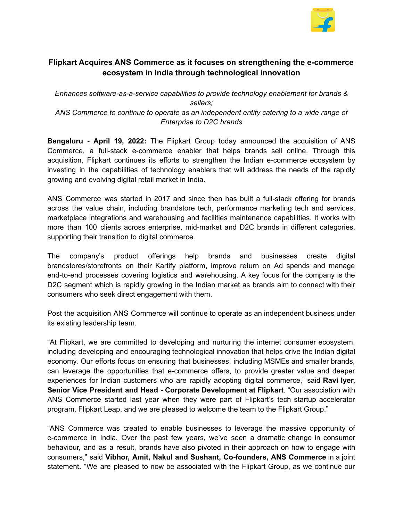

## **Flipkart Acquires ANS Commerce as it focuses on strengthening the e-commerce ecosystem in India through technological innovation**

*Enhances software-as-a-service capabilities to provide technology enablement for brands & sellers; ANS Commerce to continue to operate as an independent entity catering to a wide range of Enterprise to D2C brands*

**Bengaluru - April 19, 2022:** The Flipkart Group today announced the acquisition of ANS Commerce, a full-stack e-commerce enabler that helps brands sell online. Through this acquisition, Flipkart continues its efforts to strengthen the Indian e-commerce ecosystem by investing in the capabilities of technology enablers that will address the needs of the rapidly growing and evolving digital retail market in India.

ANS Commerce was started in 2017 and since then has built a full-stack offering for brands across the value chain, including brandstore tech, performance marketing tech and services, marketplace integrations and warehousing and facilities maintenance capabilities. It works with more than 100 clients across enterprise, mid-market and D2C brands in different categories, supporting their transition to digital commerce.

The company's product offerings help brands and businesses create digital brandstores/storefronts on their Kartify platform, improve return on Ad spends and manage end-to-end processes covering logistics and warehousing. A key focus for the company is the D2C segment which is rapidly growing in the Indian market as brands aim to connect with their consumers who seek direct engagement with them.

Post the acquisition ANS Commerce will continue to operate as an independent business under its existing leadership team.

"At Flipkart, we are committed to developing and nurturing the internet consumer ecosystem, including developing and encouraging technological innovation that helps drive the Indian digital economy. Our efforts focus on ensuring that businesses, including MSMEs and smaller brands, can leverage the opportunities that e-commerce offers, to provide greater value and deeper experiences for Indian customers who are rapidly adopting digital commerce," said **Ravi Iyer, Senior Vice President and Head - Corporate Development at Flipkart**. "Our association with ANS Commerce started last year when they were part of Flipkart's tech startup accelerator program, Flipkart Leap, and we are pleased to welcome the team to the Flipkart Group."

"ANS Commerce was created to enable businesses to leverage the massive opportunity of e-commerce in India. Over the past few years, we've seen a dramatic change in consumer behaviour, and as a result, brands have also pivoted in their approach on how to engage with consumers," said **Vibhor, Amit, Nakul and Sushant, Co-founders, ANS Commerce** in a joint statement**.** "We are pleased to now be associated with the Flipkart Group, as we continue our